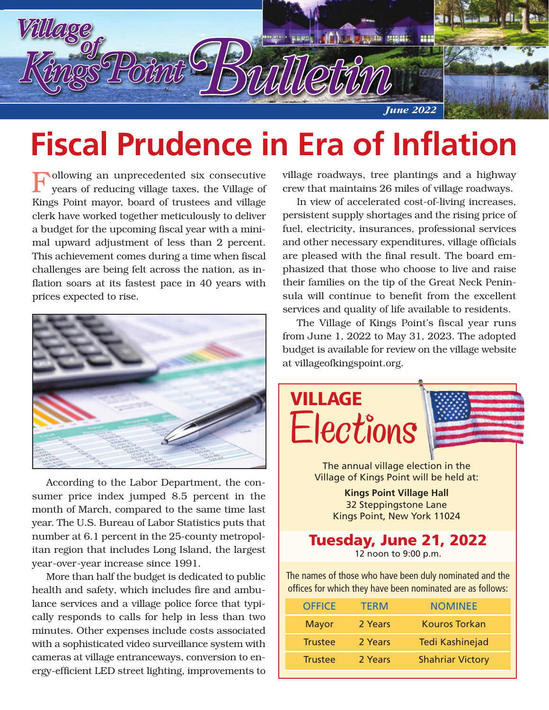

## **Fiscal Prudence in Era of Inflation**

Following an unprecedented six consecutive years of reducing village taxes, the Village of Kings Point mayor, board of trustees and village clerk have worked together meticulously to deliver a budget for the upcoming fiscal year with a minimal upward adjustment of less than 2 percent. This achievement comes during a time when fiscal challenges are being felt across the nation, as inflation soars at its fastest pace in 40 years with prices expected to rise.



According to the Labor Department, the consumer price index jumped 8.5 percent in the month of March, compared to the same time last year. The U.S. Bureau of Labor Statistics puts that number at 6.1 percent in the 25-county metropolitan region that includes Long Island, the largest year-over-year increase since 1991.

More than half the budget is dedicated to public health and safety, which includes fire and ambulance services and a village police force that typically responds to calls for help in less than two minutes. Other expenses include costs associated with a sophisticated video surveillance system with cameras at village entranceways, conversion to energy-efficient LED street lighting, improvements to

village roadways, tree plantings and a highway crew that maintains 26 miles of village roadways.

In view of accelerated cost-of-living increases, persistent supply shortages and the rising price of fuel, electricity, insurances, professional services and other necessary expenditures, village officials are pleased with the final result. The board emphasized that those who choose to live and raise their families on the tip of the Great Neck Peninsula will continue to benefit from the excellent services and quality of life available to residents.

The Village of Kings Point's fiscal year runs from June 1, 2022 to May 31, 2023. The adopted budget is available for review on the village website at villageofkingspoint.org.



The annual village election in the Village of Kings Point will be held at:

> **Kings Point Village Hall**  32 Steppingstone Lane Kings Point, New York 11024

#### **Tuesday, June 21, 2022**  12 noon to 9:00 p.m.

The names of those who have been duly nominated and the offices for which they have been nominated are as follows:

| <b>OFFICE</b>  | <b>TFRM</b> | <b>NOMINEE</b>          |
|----------------|-------------|-------------------------|
| <b>Mayor</b>   | 2 Years     | <b>Kouros Torkan</b>    |
| <b>Trustee</b> | 2 Years     | <b>Tedi Kashinejad</b>  |
| <b>Trustee</b> | 2 Years     | <b>Shahriar Victory</b> |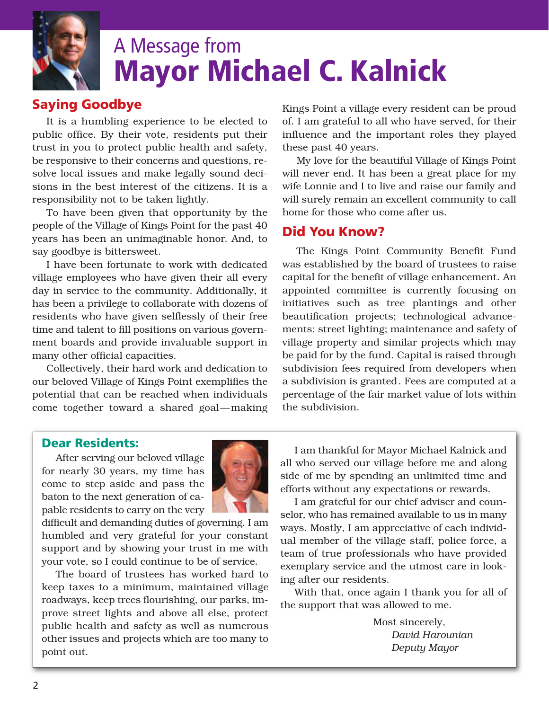

### A Message from **Mayor Michael C. Kalnick**

### **Saying Goodbye**

It is a humbling experience to be elected to public office. By their vote, residents put their trust in you to protect public health and safety, be responsive to their concerns and questions, resolve local issues and make legally sound decisions in the best interest of the citizens. It is a responsibility not to be taken lightly.

To have been given that opportunity by the people of the Village of Kings Point for the past 40 years has been an unimaginable honor. And, to say goodbye is bittersweet.

I have been fortunate to work with dedicated village employees who have given their all every day in service to the community. Additionally, it has been a privilege to collaborate with dozens of residents who have given selflessly of their free time and talent to fill positions on various government boards and provide invaluable support in many other official capacities.

Collectively, their hard work and dedication to our beloved Village of Kings Point exemplifies the potential that can be reached when individuals come together toward a shared goal—making Kings Point a village every resident can be proud of. I am grateful to all who have served, for their influence and the important roles they played these past 40 years.

My love for the beautiful Village of Kings Point will never end. It has been a great place for my wife Lonnie and I to live and raise our family and will surely remain an excellent community to call home for those who come after us.

### **Did You Know?**

The Kings Point Community Benefit Fund was established by the board of trustees to raise capital for the benefit of village enhancement. An appointed committee is currently focusing on initiatives such as tree plantings and other beautification projects; technological advancements; street lighting; maintenance and safety of village property and similar projects which may be paid for by the fund. Capital is raised through subdivision fees required from developers when a subdivision is granted. Fees are computed at a percentage of the fair market value of lots within the subdivision.

#### **Dear Residents:**

After serving our beloved village for nearly 30 years, my time has come to step aside and pass the baton to the next generation of capable residents to carry on the very



difficult and demanding duties of governing. I am humbled and very grateful for your constant support and by showing your trust in me with your vote, so I could continue to be of service.

The board of trustees has worked hard to keep taxes to a minimum, maintained village roadways, keep trees flourishing, our parks, improve street lights and above all else, protect public health and safety as well as numerous other issues and projects which are too many to point out.

I am thankful for Mayor Michael Kalnick and all who served our village before me and along side of me by spending an unlimited time and efforts without any expectations or rewards.

I am grateful for our chief adviser and counselor, who has remained available to us in many ways. Mostly, I am appreciative of each individual member of the village staff, police force, a team of true professionals who have provided exemplary service and the utmost care in looking after our residents.

With that, once again I thank you for all of the support that was allowed to me.

> Most sincerely, *David Harounian Deputy Mayor*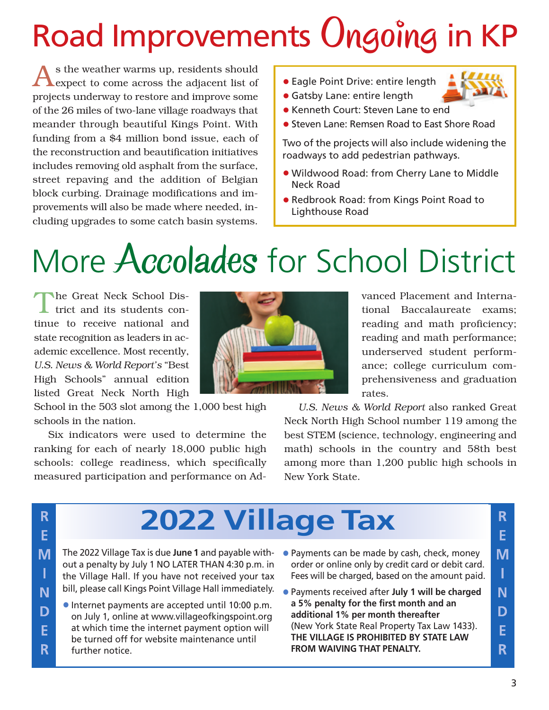# Road Improvements Ongoing in KP

As the weather warms up, residents should expect to come across the adjacent list of projects underway to restore and improve some of the 26 miles of two-lane village roadways that meander through beautiful Kings Point. With funding from a \$4 million bond issue, each of the reconstruction and beautification initiatives includes removing old asphalt from the surface, street repaving and the addition of Belgian block curbing. Drainage modifications and improvements will also be made where needed, including upgrades to some catch basin systems.

• Eagle Point Drive: entire length



- Gatsby Lane: entire length
- Kenneth Court: Steven Lane to end
- Steven Lane: Remsen Road to East Shore Road

Two of the projects will also include widening the roadways to add pedestrian pathways.

- Wildwood Road: from Cherry Lane to Middle Neck Road
- Redbrook Road: from Kings Point Road to Lighthouse Road

## More Accolades for School District

The Great Neck School District and its students continue to receive national and state recognition as leaders in academic excellence. Most recently, *U.S. News & World Report's* "Best High Schools" annual edition listed Great Neck North High

School in the 503 slot among the 1,000 best high schools in the nation.

Six indicators were used to determine the ranking for each of nearly 18,000 public high schools: college readiness, which specifically measured participation and performance on Ad-



vanced Placement and International Baccalaureate exams; reading and math proficiency; reading and math performance; underserved student performance; college curriculum comprehensiveness and graduation rates.

*U.S. News & World Report* also ranked Great Neck North High School number 119 among the best STEM (science, technology, engineering and math) schools in the country and 58th best among more than 1,200 public high schools in New York State.

### **2022 Village Tax**

- The 2022 Village Tax is due **June 1** and payable without a penalty by July 1 NO LATER THAN 4:30 p.m. in the Village Hall. If you have not received your tax bill, please call Kings Point Village Hall immediately.
- Internet payments are accepted until 10:00 p.m. on July 1, online at www.villageofkingspoint.org at which time the internet payment option will be turned off for website maintenance until further notice.
- Payments can be made by cash, check, money order or online only by credit card or debit card. Fees will be charged, based on the amount paid.
- Payments received after **July 1 will be charged a 5% penalty for the first month and an additional 1% per month thereafter** (New York State Real Property Tax Law 1433). **THE VILLAGE IS PROHIBITED BY STATE LAW FROM WAIVING THAT PENALTY.**

R E.

M<sup>1</sup>

 $\mathbf{I}$ 

N.

D

E

R